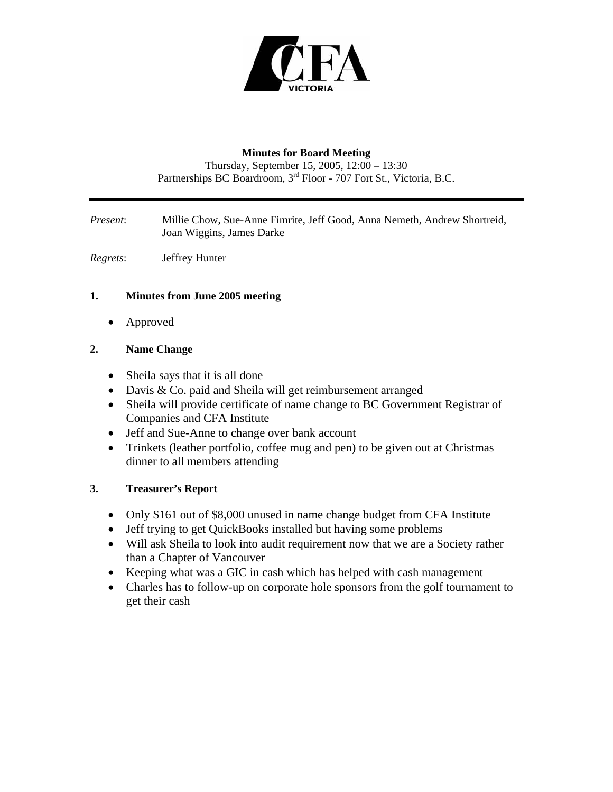

#### **Minutes for Board Meeting**

Thursday, September 15, 2005, 12:00 – 13:30 Partnerships BC Boardroom, 3<sup>rd</sup> Floor - 707 Fort St., Victoria, B.C.

*Present*: Millie Chow, Sue-Anne Fimrite, Jeff Good, Anna Nemeth, Andrew Shortreid, Joan Wiggins, James Darke

*Regrets*: Jeffrey Hunter

## **1. Minutes from June 2005 meeting**

• Approved

### **2. Name Change**

- Sheila says that it is all done
- Davis & Co. paid and Sheila will get reimbursement arranged
- Sheila will provide certificate of name change to BC Government Registrar of Companies and CFA Institute
- Jeff and Sue-Anne to change over bank account
- Trinkets (leather portfolio, coffee mug and pen) to be given out at Christmas dinner to all members attending

#### **3. Treasurer's Report**

- Only \$161 out of \$8,000 unused in name change budget from CFA Institute
- Jeff trying to get QuickBooks installed but having some problems
- Will ask Sheila to look into audit requirement now that we are a Society rather than a Chapter of Vancouver
- Keeping what was a GIC in cash which has helped with cash management
- Charles has to follow-up on corporate hole sponsors from the golf tournament to get their cash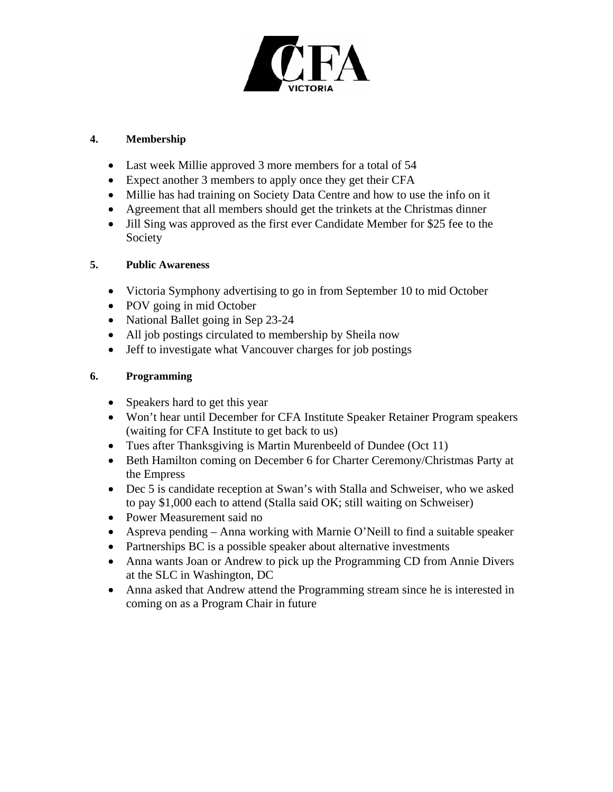

#### **4. Membership**

- Last week Millie approved 3 more members for a total of 54
- Expect another 3 members to apply once they get their CFA
- Millie has had training on Society Data Centre and how to use the info on it
- Agreement that all members should get the trinkets at the Christmas dinner
- Jill Sing was approved as the first ever Candidate Member for \$25 fee to the Society

# **5. Public Awareness**

- Victoria Symphony advertising to go in from September 10 to mid October
- POV going in mid October
- National Ballet going in Sep 23-24
- All job postings circulated to membership by Sheila now
- Jeff to investigate what Vancouver charges for job postings

# **6. Programming**

- Speakers hard to get this year
- Won't hear until December for CFA Institute Speaker Retainer Program speakers (waiting for CFA Institute to get back to us)
- Tues after Thanksgiving is Martin Murenbeeld of Dundee (Oct 11)
- Beth Hamilton coming on December 6 for Charter Ceremony/Christmas Party at the Empress
- Dec 5 is candidate reception at Swan's with Stalla and Schweiser, who we asked to pay \$1,000 each to attend (Stalla said OK; still waiting on Schweiser)
- Power Measurement said no
- Aspreva pending Anna working with Marnie O'Neill to find a suitable speaker
- Partnerships BC is a possible speaker about alternative investments
- Anna wants Joan or Andrew to pick up the Programming CD from Annie Divers at the SLC in Washington, DC
- Anna asked that Andrew attend the Programming stream since he is interested in coming on as a Program Chair in future